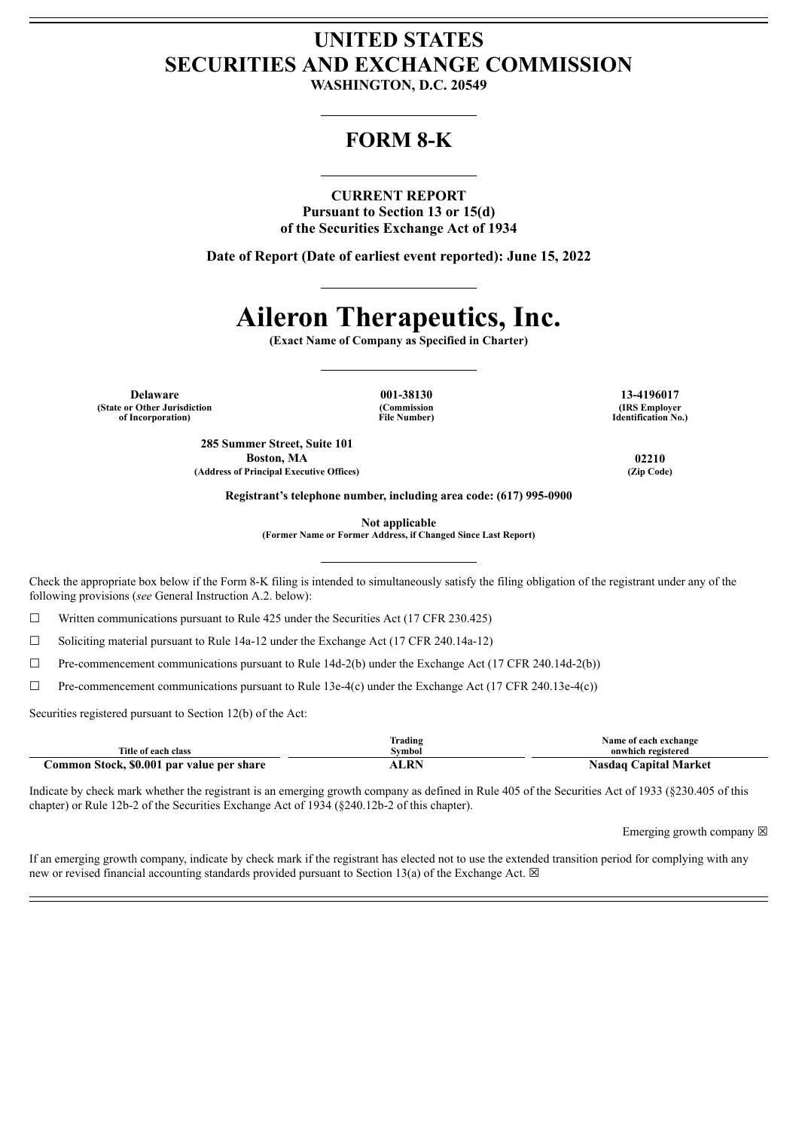## **UNITED STATES SECURITIES AND EXCHANGE COMMISSION**

**WASHINGTON, D.C. 20549**

### **FORM 8-K**

### **CURRENT REPORT**

**Pursuant to Section 13 or 15(d) of the Securities Exchange Act of 1934**

**Date of Report (Date of earliest event reported): June 15, 2022**

# **Aileron Therapeutics, Inc.**

**(Exact Name of Company as Specified in Charter)**

**Delaware 001-38130 13-4196017 (State or Other Jurisdiction of Incorporation)**

**(Commission File Number)**

**(IRS Employer Identification No.)**

**285 Summer Street, Suite 101 Boston, MA 02210 (Address of Principal Executive Offices) (Zip Code)**

**Registrant's telephone number, including area code: (617) 995-0900**

**Not applicable**

**(Former Name or Former Address, if Changed Since Last Report)**

Check the appropriate box below if the Form 8-K filing is intended to simultaneously satisfy the filing obligation of the registrant under any of the following provisions (*see* General Instruction A.2. below):

☐ Written communications pursuant to Rule 425 under the Securities Act (17 CFR 230.425)

 $\Box$  Soliciting material pursuant to Rule 14a-12 under the Exchange Act (17 CFR 240.14a-12)

 $\Box$  Pre-commencement communications pursuant to Rule 14d-2(b) under the Exchange Act (17 CFR 240.14d-2(b))

 $\Box$  Pre-commencement communications pursuant to Rule 13e-4(c) under the Exchange Act (17 CFR 240.13e-4(c))

Securities registered pursuant to Section 12(b) of the Act:

|                                           | Trading | Name of each exchange           |
|-------------------------------------------|---------|---------------------------------|
| Title of each class                       | vmbol   | onwhich registered              |
| Common Stock, \$0.001 par value per share | ALRN    | <b>Capital Market</b><br>Nasdaq |

Indicate by check mark whether the registrant is an emerging growth company as defined in Rule 405 of the Securities Act of 1933 (§230.405 of this chapter) or Rule 12b-2 of the Securities Exchange Act of 1934 (§240.12b-2 of this chapter).

Emerging growth company  $\boxtimes$ 

If an emerging growth company, indicate by check mark if the registrant has elected not to use the extended transition period for complying with any new or revised financial accounting standards provided pursuant to Section 13(a) of the Exchange Act.  $\boxtimes$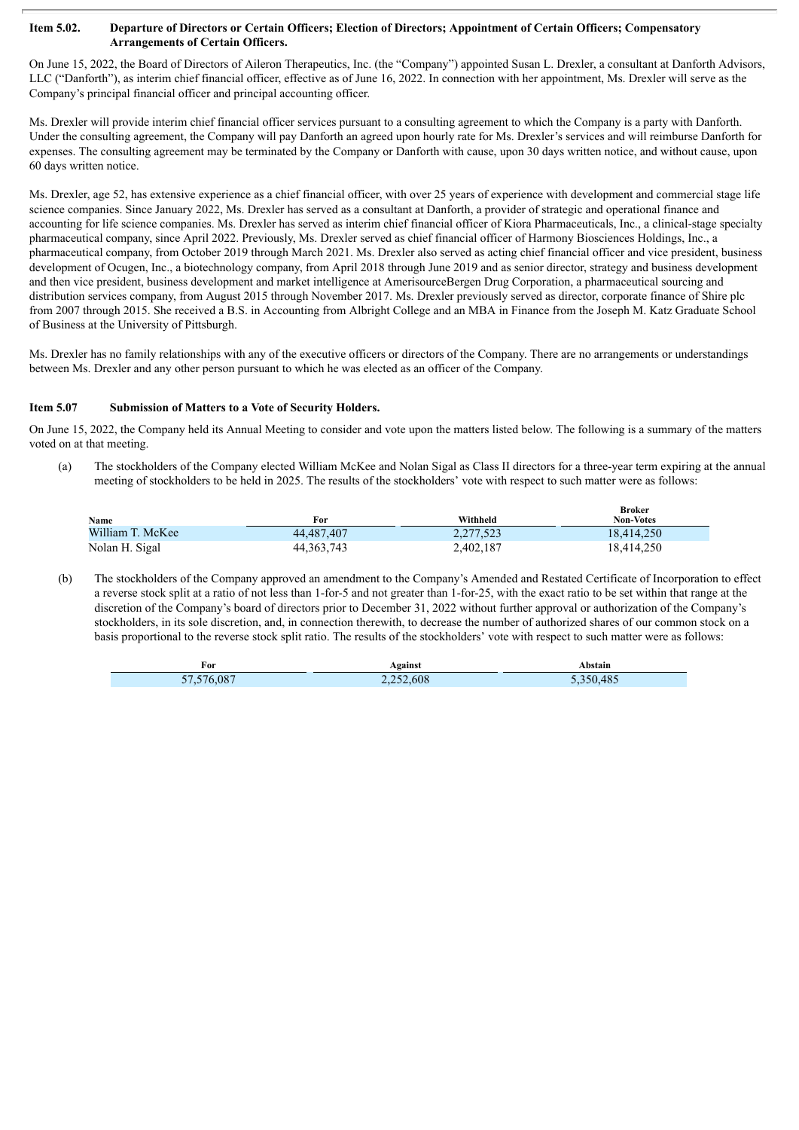#### Item 5.02. Departure of Directors or Certain Officers; Election of Directors; Appointment of Certain Officers; Compensatory **Arrangements of Certain Officers.**

On June 15, 2022, the Board of Directors of Aileron Therapeutics, Inc. (the "Company") appointed Susan L. Drexler, a consultant at Danforth Advisors, LLC ("Danforth"), as interim chief financial officer, effective as of June 16, 2022. In connection with her appointment, Ms. Drexler will serve as the Company's principal financial officer and principal accounting officer.

Ms. Drexler will provide interim chief financial officer services pursuant to a consulting agreement to which the Company is a party with Danforth. Under the consulting agreement, the Company will pay Danforth an agreed upon hourly rate for Ms. Drexler's services and will reimburse Danforth for expenses. The consulting agreement may be terminated by the Company or Danforth with cause, upon 30 days written notice, and without cause, upon 60 days written notice.

Ms. Drexler, age 52, has extensive experience as a chief financial officer, with over 25 years of experience with development and commercial stage life science companies. Since January 2022, Ms. Drexler has served as a consultant at Danforth, a provider of strategic and operational finance and accounting for life science companies. Ms. Drexler has served as interim chief financial officer of Kiora Pharmaceuticals, Inc., a clinical-stage specialty pharmaceutical company, since April 2022. Previously, Ms. Drexler served as chief financial officer of Harmony Biosciences Holdings, Inc., a pharmaceutical company, from October 2019 through March 2021. Ms. Drexler also served as acting chief financial officer and vice president, business development of Ocugen, Inc., a biotechnology company, from April 2018 through June 2019 and as senior director, strategy and business development and then vice president, business development and market intelligence at AmerisourceBergen Drug Corporation, a pharmaceutical sourcing and distribution services company, from August 2015 through November 2017. Ms. Drexler previously served as director, corporate finance of Shire plc from 2007 through 2015. She received a B.S. in Accounting from Albright College and an MBA in Finance from the Joseph M. Katz Graduate School of Business at the University of Pittsburgh.

Ms. Drexler has no family relationships with any of the executive officers or directors of the Company. There are no arrangements or understandings between Ms. Drexler and any other person pursuant to which he was elected as an officer of the Company.

### **Item 5.07 Submission of Matters to a Vote of Security Holders.**

On June 15, 2022, the Company held its Annual Meeting to consider and vote upon the matters listed below. The following is a summary of the matters voted on at that meeting.

(a) The stockholders of the Company elected William McKee and Nolan Sigal as Class II directors for a three-year term expiring at the annual meeting of stockholders to be held in 2025. The results of the stockholders' vote with respect to such matter were as follows:

| Name             | For          | Withheld  | <b>Broker</b><br><b>Non-Votes</b> |
|------------------|--------------|-----------|-----------------------------------|
| William T. McKee | 44,487,407   | 2,277,523 | 18.414.250                        |
| Nolan H. Sigal   | 44, 363, 743 | 2,402,187 | 18,414,250                        |

(b) The stockholders of the Company approved an amendment to the Company's Amended and Restated Certificate of Incorporation to effect a reverse stock split at a ratio of not less than 1-for-5 and not greater than 1-for-25, with the exact ratio to be set within that range at the discretion of the Company's board of directors prior to December 31, 2022 without further approval or authorization of the Company's stockholders, in its sole discretion, and, in connection therewith, to decrease the number of authorized shares of our common stock on a basis proportional to the reverse stock split ratio. The results of the stockholders' vote with respect to such matter were as follows:

| For                                | Against   | Abstain   |
|------------------------------------|-----------|-----------|
| 57.576.087<br>$\sim$ $\sim$ $\sim$ | 2,252,608 | 5,350,485 |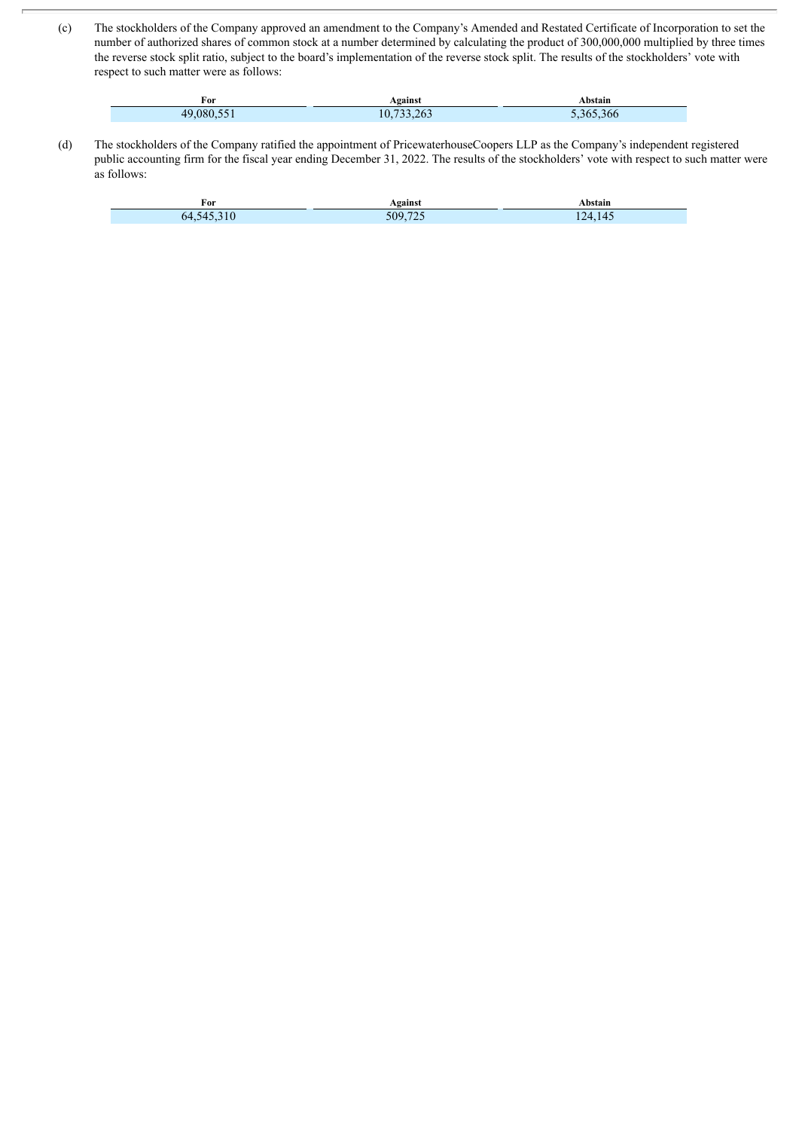(c) The stockholders of the Company approved an amendment to the Company's Amended and Restated Certificate of Incorporation to set the number of authorized shares of common stock at a number determined by calculating the product of 300,000,000 multiplied by three times the reverse stock split ratio, subject to the board's implementation of the reverse stock split. The results of the stockholders' vote with respect to such matter were as follows:

| For     | Against        | Abstain        |
|---------|----------------|----------------|
| 4908055 | 733.263<br>10. | $-365$<br>,366 |

(d) The stockholders of the Company ratified the appointment of PricewaterhouseCoopers LLP as the Company's independent registered public accounting firm for the fiscal year ending December 31, 2022. The results of the stockholders' vote with respect to such matter were as follows:

| For                       | Against    | bstain                      |
|---------------------------|------------|-----------------------------|
| nд<br>$\mathbf{z}$<br>∪⊤. | ---<br>70م | $\Delta$<br>. .<br>$\cdots$ |